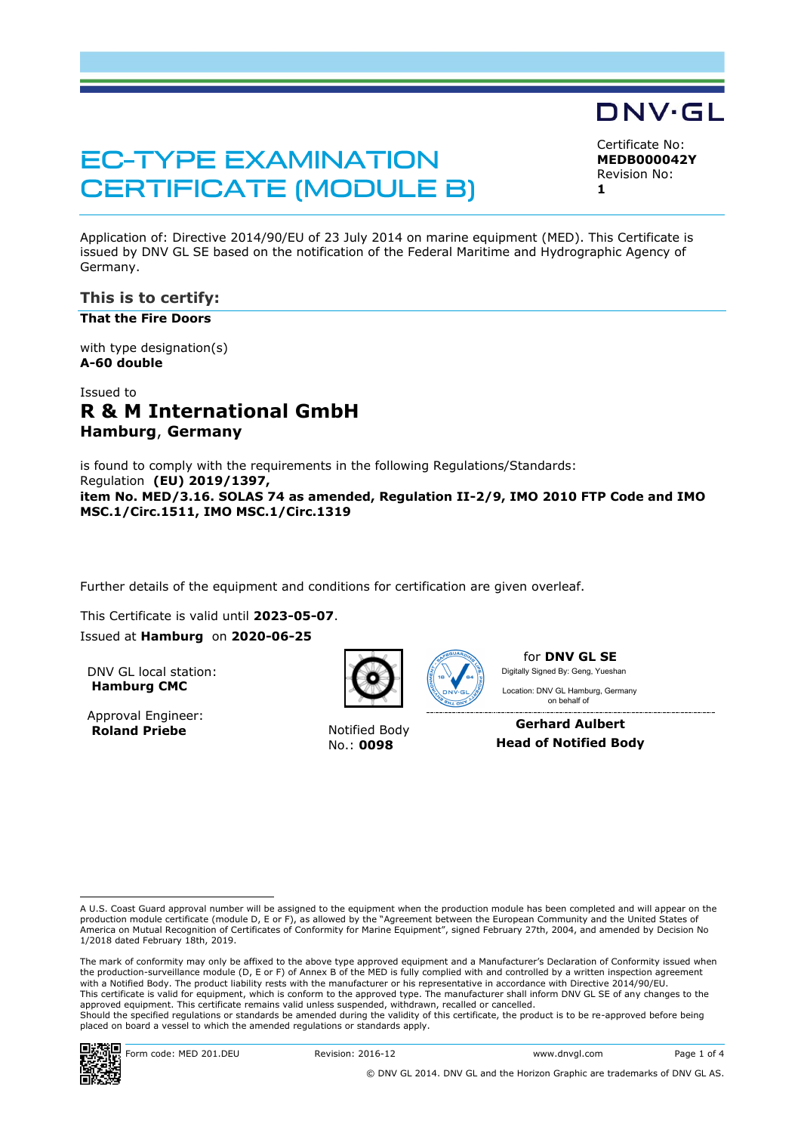# **EC-TYPE EXAMINATION CERTIFICATE (MODULE B)**

Certificate No: **MEDB000042Y**

DNV·GL

Revision No:

**1**

Application of: Directive 2014/90/EU of 23 July 2014 on marine equipment (MED). This Certificate is issued by DNV GL SE based on the notification of the Federal Maritime and Hydrographic Agency of Germany.

# **This is to certify:**

**That the Fire Doors**

with type designation(s) **A-60 double**

# Issued to **R & M International GmbH Hamburg**, **Germany**

is found to comply with the requirements in the following Regulations/Standards: Regulation **(EU) 2019/1397, item No. MED/3.16. SOLAS 74 as amended, Regulation II-2/9, IMO 2010 FTP Code and IMO MSC.1/Circ.1511, IMO MSC.1/Circ.1319**

Further details of the equipment and conditions for certification are given overleaf.

This Certificate is valid until **2023-05-07**.

Issued at **Hamburg** on **2020-06-25**

DNV GL local station: **Hamburg CMC**

Approval Engineer: **Roland Priebe** Notified Body



No.: **0098**



for **DNV GL SE** Digitally Signed By: Geng, Yueshan

 on behalf ofLocation: DNV GL Hamburg, Germany

**Gerhard Aulbert Head of Notified Body**

The mark of conformity may only be affixed to the above type approved equipment and a Manufacturer's Declaration of Conformity issued when the production-surveillance module (D, E or F) of Annex B of the MED is fully complied with and controlled by a written inspection agreement with a Notified Body. The product liability rests with the manufacturer or his representative in accordance with Directive 2014/90/EU. This certificate is valid for equipment, which is conform to the approved type. The manufacturer shall inform DNV GL SE of any changes to the approved equipment. This certificate remains valid unless suspended, withdrawn, recalled or cancelled. Should the specified regulations or standards be amended during the validity of this certificate, the product is to be re-approved before being placed on board a vessel to which the amended regulations or standards apply.



A U.S. Coast Guard approval number will be assigned to the equipment when the production module has been completed and will appear on the production module certificate (module D, E or F), as allowed by the "Agreement between the European Community and the United States of<br>America on Mutual Recognition of Certificates of Conformity for Marine Equipment", sign 1/2018 dated February 18th, 2019.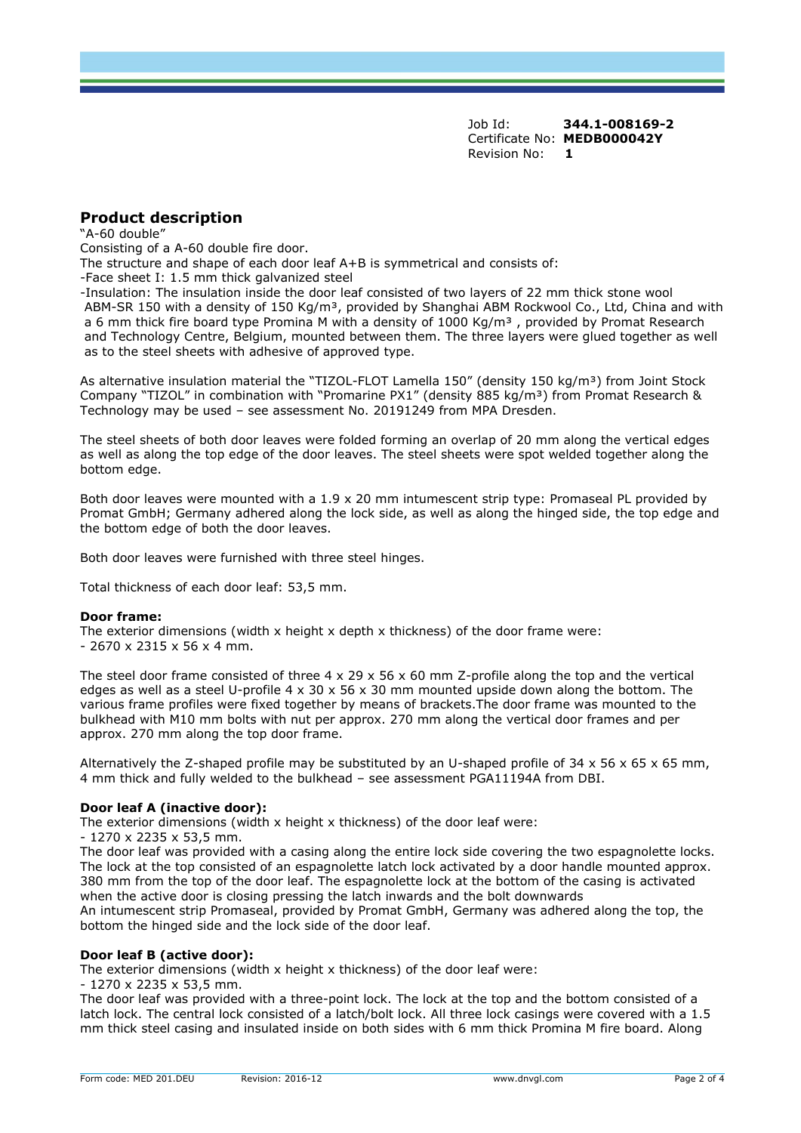Job Id: **344.1-008169-2** Certificate No: **MEDB000042Y** Revision No: **1**

# **Product description**

"A-60 double"

Consisting of a A-60 double fire door.

The structure and shape of each door leaf A+B is symmetrical and consists of:

-Face sheet I: 1.5 mm thick galvanized steel

-Insulation: The insulation inside the door leaf consisted of two layers of 22 mm thick stone wool ABM-SR 150 with a density of 150 Kg/m<sup>3</sup>, provided by Shanghai ABM Rockwool Co., Ltd, China and with a 6 mm thick fire board type Promina M with a density of 1000 Kg/m<sup>3</sup>, provided by Promat Research and Technology Centre, Belgium, mounted between them. The three layers were glued together as well as to the steel sheets with adhesive of approved type.

As alternative insulation material the "TIZOL-FLOT Lamella 150" (density 150 kg/m<sup>3</sup>) from Joint Stock Company "TIZOL" in combination with "Promarine PX1" (density 885 kg/m<sup>3</sup>) from Promat Research & Technology may be used – see assessment No. 20191249 from MPA Dresden.

The steel sheets of both door leaves were folded forming an overlap of 20 mm along the vertical edges as well as along the top edge of the door leaves. The steel sheets were spot welded together along the bottom edge.

Both door leaves were mounted with a 1.9 x 20 mm intumescent strip type: Promaseal PL provided by Promat GmbH; Germany adhered along the lock side, as well as along the hinged side, the top edge and the bottom edge of both the door leaves.

Both door leaves were furnished with three steel hinges.

Total thickness of each door leaf: 53,5 mm.

#### **Door frame:**

The exterior dimensions (width x height x depth x thickness) of the door frame were: - 2670 x 2315 x 56 x 4 mm.

The steel door frame consisted of three  $4 \times 29 \times 56 \times 60$  mm Z-profile along the top and the vertical edges as well as a steel U-profile  $4 \times 30 \times 56 \times 30$  mm mounted upside down along the bottom. The various frame profiles were fixed together by means of brackets.The door frame was mounted to the bulkhead with M10 mm bolts with nut per approx. 270 mm along the vertical door frames and per approx. 270 mm along the top door frame.

Alternatively the Z-shaped profile may be substituted by an U-shaped profile of  $34 \times 56 \times 65 \times 65$  mm, 4 mm thick and fully welded to the bulkhead – see assessment PGA11194A from DBI.

#### **Door leaf A (inactive door):**

The exterior dimensions (width x height x thickness) of the door leaf were:

- 1270 x 2235 x 53,5 mm.

The door leaf was provided with a casing along the entire lock side covering the two espagnolette locks. The lock at the top consisted of an espagnolette latch lock activated by a door handle mounted approx. 380 mm from the top of the door leaf. The espagnolette lock at the bottom of the casing is activated when the active door is closing pressing the latch inwards and the bolt downwards An intumescent strip Promaseal, provided by Promat GmbH, Germany was adhered along the top, the bottom the hinged side and the lock side of the door leaf.

#### **Door leaf B (active door):**

The exterior dimensions (width x height x thickness) of the door leaf were:

- 1270 x 2235 x 53,5 mm.

The door leaf was provided with a three-point lock. The lock at the top and the bottom consisted of a latch lock. The central lock consisted of a latch/bolt lock. All three lock casings were covered with a 1.5 mm thick steel casing and insulated inside on both sides with 6 mm thick Promina M fire board. Along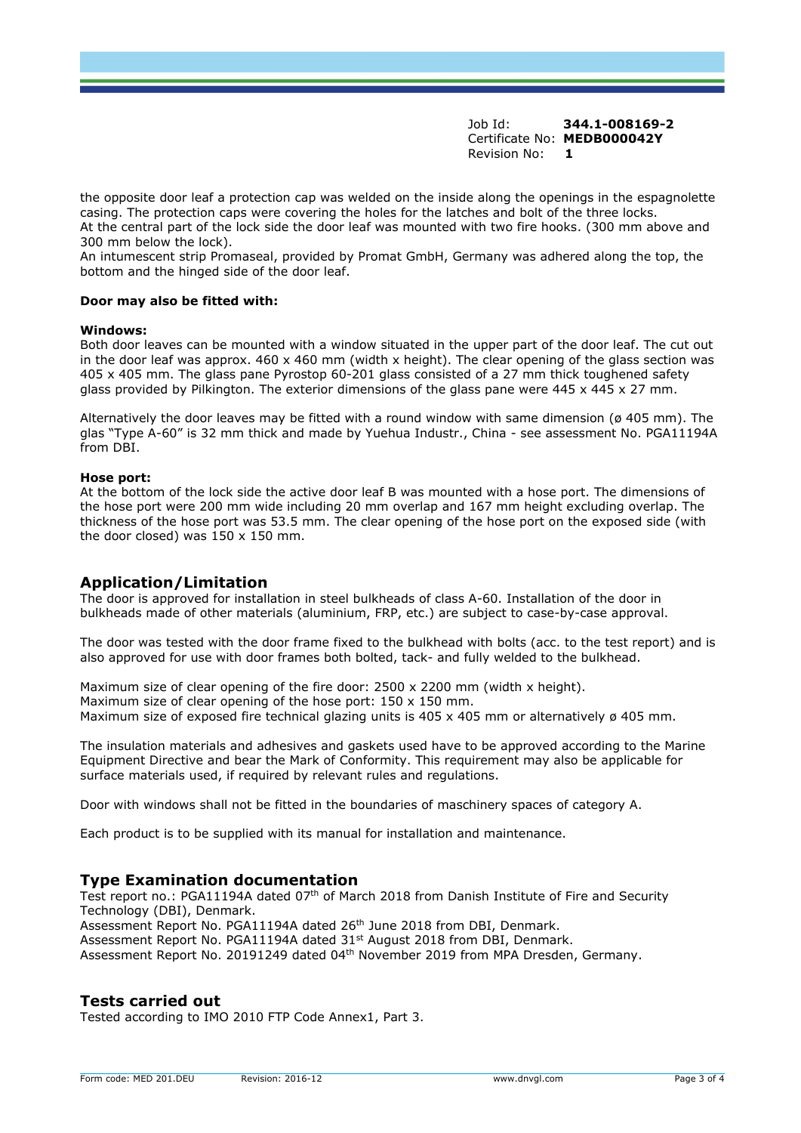Job Id: **344.1-008169-2** Certificate No: **MEDB000042Y** Revision No: **1**

the opposite door leaf a protection cap was welded on the inside along the openings in the espagnolette casing. The protection caps were covering the holes for the latches and bolt of the three locks. At the central part of the lock side the door leaf was mounted with two fire hooks. (300 mm above and 300 mm below the lock).

An intumescent strip Promaseal, provided by Promat GmbH, Germany was adhered along the top, the bottom and the hinged side of the door leaf.

#### **Door may also be fitted with:**

#### **Windows:**

Both door leaves can be mounted with a window situated in the upper part of the door leaf. The cut out in the door leaf was approx.  $460 \times 460$  mm (width x height). The clear opening of the glass section was 405 x 405 mm. The glass pane Pyrostop 60-201 glass consisted of a 27 mm thick toughened safety glass provided by Pilkington. The exterior dimensions of the glass pane were 445 x 445 x 27 mm.

Alternatively the door leaves may be fitted with a round window with same dimension ( $\varnothing$  405 mm). The glas "Type A-60" is 32 mm thick and made by Yuehua Industr., China - see assessment No. PGA11194A from DBI.

#### **Hose port:**

At the bottom of the lock side the active door leaf B was mounted with a hose port. The dimensions of the hose port were 200 mm wide including 20 mm overlap and 167 mm height excluding overlap. The thickness of the hose port was 53.5 mm. The clear opening of the hose port on the exposed side (with the door closed) was  $150 \times 150$  mm.

# **Application/Limitation**

The door is approved for installation in steel bulkheads of class A-60. Installation of the door in bulkheads made of other materials (aluminium, FRP, etc.) are subject to case-by-case approval.

The door was tested with the door frame fixed to the bulkhead with bolts (acc. to the test report) and is also approved for use with door frames both bolted, tack- and fully welded to the bulkhead.

Maximum size of clear opening of the fire door: 2500 x 2200 mm (width x height). Maximum size of clear opening of the hose port: 150 x 150 mm. Maximum size of exposed fire technical glazing units is 405 x 405 mm or alternatively  $\varnothing$  405 mm.

The insulation materials and adhesives and gaskets used have to be approved according to the Marine Equipment Directive and bear the Mark of Conformity. This requirement may also be applicable for surface materials used, if required by relevant rules and regulations.

Door with windows shall not be fitted in the boundaries of maschinery spaces of category A.

Each product is to be supplied with its manual for installation and maintenance.

### **Type Examination documentation**

Test report no.: PGA11194A dated 07<sup>th</sup> of March 2018 from Danish Institute of Fire and Security Technology (DBI), Denmark. Assessment Report No. PGA11194A dated 26<sup>th</sup> June 2018 from DBI, Denmark. Assessment Report No. PGA11194A dated 31st August 2018 from DBI, Denmark. Assessment Report No. 20191249 dated 04<sup>th</sup> November 2019 from MPA Dresden, Germany.

### **Tests carried out**

Tested according to IMO 2010 FTP Code Annex1, Part 3.